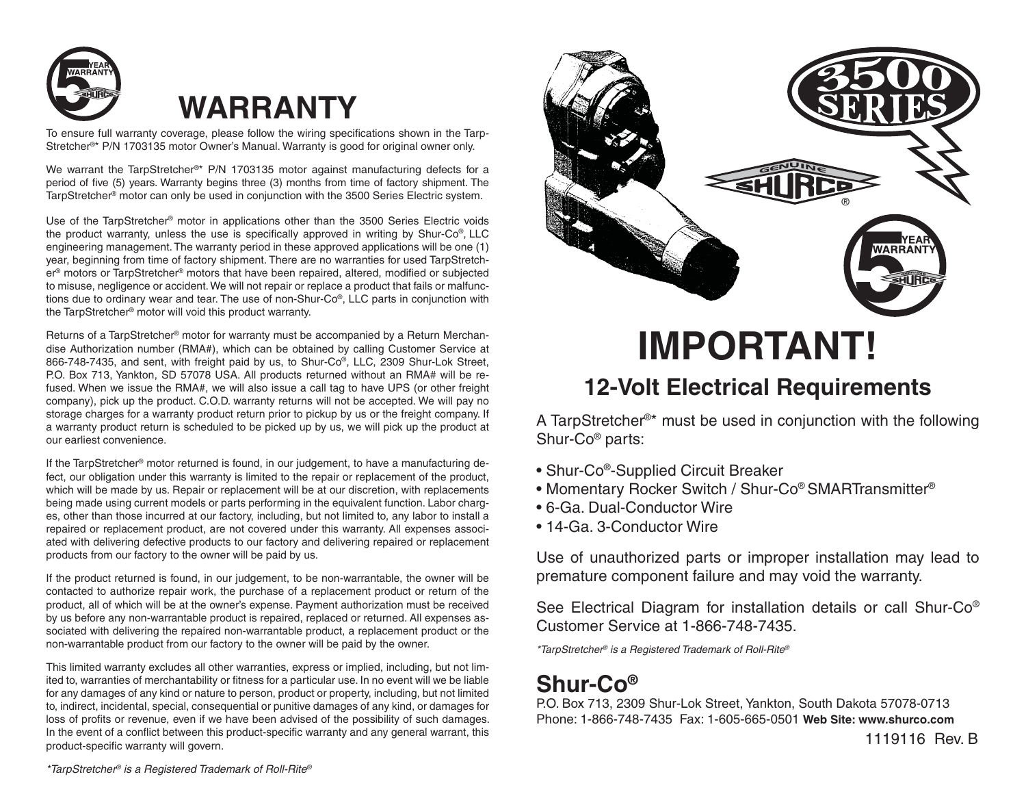

## **WARRANTY**

To ensure full warranty coverage, please follow the wiring specifications shown in the Tarp-Stretcher®\* P/N 1703135 motor Owner's Manual. Warranty is good for original owner only.

We warrant the TarpStretcher®\* P/N 1703135 motor against manufacturing defects for a period of five (5) years. Warranty begins three (3) months from time of factory shipment. The TarpStretcher® motor can only be used in conjunction with the 3500 Series Electric system.

Use of the TarpStretcher® motor in applications other than the 3500 Series Electric voids the product warranty, unless the use is specifically approved in writing by Shur-Co®, LLC engineering management. The warranty period in these approved applications will be one (1) year, beginning from time of factory shipment. There are no warranties for used TarpStretcher® motors or TarpStretcher® motors that have been repaired, altered, modified or subjected to misuse, negligence or accident. We will not repair or replace a product that fails or malfunctions due to ordinary wear and tear. The use of non-Shur-Co®, LLC parts in conjunction with the TarpStretcher® motor will void this product warranty.

Returns of a TarpStretcher® motor for warranty must be accompanied by a Return Merchandise Authorization number (RMA#), which can be obtained by calling Customer Service at 866-748-7435, and sent, with freight paid by us, to Shur-Co®, LLC, 2309 Shur-Lok Street, P.O. Box 713, Yankton, SD 57078 USA. All products returned without an RMA# will be refused. When we issue the RMA#, we will also issue a call tag to have UPS (or other freight company), pick up the product. C.O.D. warranty returns will not be accepted. We will pay no storage charges for a warranty product return prior to pickup by us or the freight company. If a warranty product return is scheduled to be picked up by us, we will pick up the product at our earliest convenience.

If the TarpStretcher® motor returned is found, in our judgement, to have a manufacturing defect, our obligation under this warranty is limited to the repair or replacement of the product, which will be made by us. Repair or replacement will be at our discretion, with replacements being made using current models or parts performing in the equivalent function. Labor charges, other than those incurred at our factory, including, but not limited to, any labor to install a repaired or replacement product, are not covered under this warranty. All expenses associated with delivering defective products to our factory and delivering repaired or replacement products from our factory to the owner will be paid by us.

If the product returned is found, in our judgement, to be non-warrantable, the owner will be contacted to authorize repair work, the purchase of a replacement product or return of the product, all of which will be at the owner's expense. Payment authorization must be received by us before any non-warrantable product is repaired, replaced or returned. All expenses associated with delivering the repaired non-warrantable product, a replacement product or the non-warrantable product from our factory to the owner will be paid by the owner.

This limited warranty excludes all other warranties, express or implied, including, but not limited to, warranties of merchantability or fitness for a particular use. In no event will we be liable for any damages of any kind or nature to person, product or property, including, but not limited to, indirect, incidental, special, consequential or punitive damages of any kind, or damages for loss of profits or revenue, even if we have been advised of the possibility of such damages. In the event of a conflict between this product-specific warranty and any general warrant, this product-specific warranty will govern.



# **IMPORTANT!**

#### **12-Volt Electrical Requirements**

A TarpStretcher®\* must be used in conjunction with the following Shur-Co® parts:

- Shur-Co®-Supplied Circuit Breaker
- Momentary Rocker Switch / Shur-Co® SMARTransmitter®
- 6-Ga. Dual-Conductor Wire
- 14-Ga. 3-Conductor Wire

Use of unauthorized parts or improper installation may lead to premature component failure and may void the warranty.

See Electrical Diagram for installation details or call Shur-Co® Customer Service at 1-866-748-7435.

*\*TarpStretcher® is a Registered Trademark of Roll-Rite®*

### **Shur-Co®**

P.O. Box 713, 2309 Shur-Lok Street, Yankton, South Dakota 57078-0713 Phone: 1-866-748-7435 Fax: 1-605-665-0501 **Web Site: www.shurco.com**